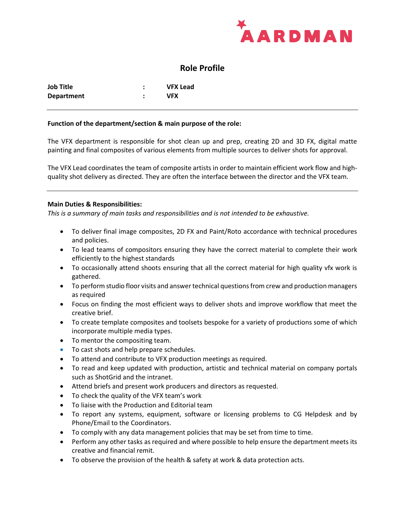

# **Role Profile**

| Job Title         | <b>VFX Lead</b> |
|-------------------|-----------------|
| <b>Department</b> | VFX             |

#### **Function of the department/section & main purpose of the role:**

The VFX department is responsible for shot clean up and prep, creating 2D and 3D FX, digital matte painting and final composites of various elements from multiple sources to deliver shots for approval.

The VFX Lead coordinates the team of composite artists in order to maintain efficient work flow and highquality shot delivery as directed. They are often the interface between the director and the VFX team.

#### **Main Duties & Responsibilities:**

*This is a summary of main tasks and responsibilities and is not intended to be exhaustive.*

- To deliver final image composites, 2D FX and Paint/Roto accordance with technical procedures and policies.
- To lead teams of compositors ensuring they have the correct material to complete their work efficiently to the highest standards
- To occasionally attend shoots ensuring that all the correct material for high quality vfx work is gathered.
- To perform studio floor visits and answer technical questions from crew and production managers as required
- Focus on finding the most efficient ways to deliver shots and improve workflow that meet the creative brief.
- To create template composites and toolsets bespoke for a variety of productions some of which incorporate multiple media types.
- To mentor the compositing team.
- To cast shots and help prepare schedules**.**
- To attend and contribute to VFX production meetings as required.
- To read and keep updated with production, artistic and technical material on company portals such as ShotGrid and the intranet.
- Attend briefs and present work producers and directors as requested.
- To check the quality of the VFX team's work
- To liaise with the Production and Editorial team
- To report any systems, equipment, software or licensing problems to CG Helpdesk and by Phone/Email to the Coordinators.
- To comply with any data management policies that may be set from time to time.
- Perform any other tasks as required and where possible to help ensure the department meets its creative and financial remit.
- To observe the provision of the health & safety at work & data protection acts.